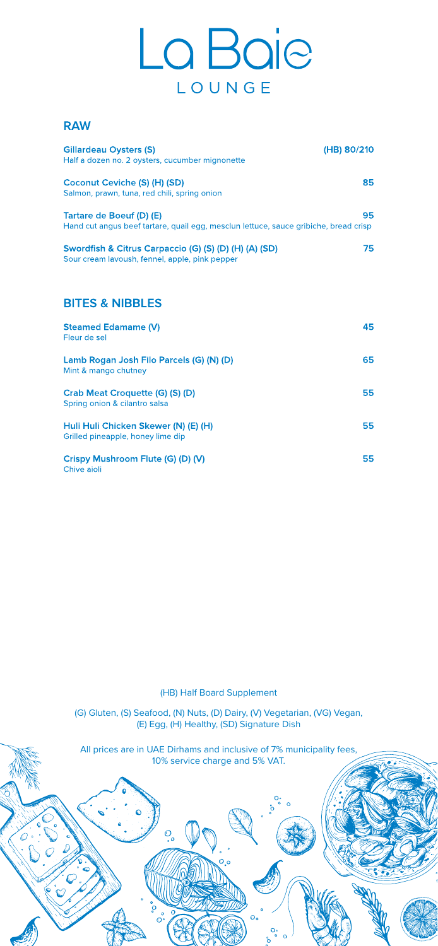·:-:...-

□

 $\mathbb{Z}^3$ 

# La Baje LOUNGE

### **RAW**

**0** • '  $\bullet$ 

| <b>Gillardeau Oysters (S)</b><br>Half a dozen no. 2 oysters, cucumber mignonette                                 | (HB) 80/210 |
|------------------------------------------------------------------------------------------------------------------|-------------|
| Coconut Ceviche (S) (H) (SD)<br>Salmon, prawn, tuna, red chili, spring onion                                     | 85          |
| Tartare de Boeuf (D) (E)<br>Hand cut angus beef tartare, quail egg, mesclun lettuce, sauce gribiche, bread crisp | 95          |
| Swordfish & Citrus Carpaccio (G) (S) (D) (H) (A) (SD)<br>Sour cream lavoush, fennel, apple, pink pepper          | 75          |
|                                                                                                                  |             |
| <b>BITES &amp; NIBBLES</b>                                                                                       |             |
| <b>Steamed Edamame (V)</b><br>Fleur de sel                                                                       | 45          |
| Lamb Rogan Josh Filo Parcels (G) (N) (D)<br>Mint & mango chutney                                                 | 65          |
| Crab Meat Croquette (G) (S) (D)<br>Spring onion & cilantro salsa                                                 | 55          |
| Huli Huli Chicken Skewer (N) (E) (H)<br>Grilled pineapple, honey lime dip                                        | 55          |
| Crispy Mushroom Flute (G) (D) (V)                                                                                | 55          |

**0 0**   $\overline{\mathbb{O}}^{\circ}$ 

 $\bullet$ 

 $O$ <br> $\bullet$ 

 $\circ$ 

Chive aioli

**0** 

**Oo <sup>0</sup>**° **<sup>0</sup>**<sup>0</sup> **0** 

~

 $\mathcal{O}$  of  $\mathcal{O}$ 

**Oo <sup>0</sup>**° **<sup>0</sup>**<sup>0</sup>

 $\overline{\mathcal{O}}_{\mathsf{o}}$ 

(HB) Half Board Supplement

(G) Gluten, (S) Seafood, (N) Nuts, (D) Dairy, (V) Vegetarian, (VG) Vegan, (E) Egg, (H) Healthy, (SD) Signature Dish

All prices are in UAE Dirhams and inclusive of 7% municipality fees, 10% service charge and 5% VAT.

 $O_{o}$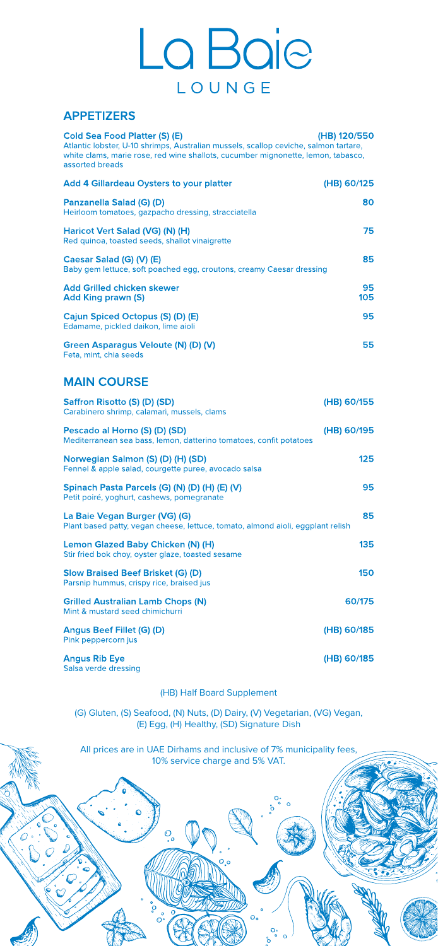·:-:...-

 $\mathbb{Z}^3$ 

# La Baje LOUNGE

## **APPETIZERS**

| <b>Cold Sea Food Platter (S) (E)</b><br>Atlantic lobster, U-10 shrimps, Australian mussels, scallop ceviche, salmon tartare,<br>white clams, marie rose, red wine shallots, cucumber mignonette, lemon, tabasco,<br>assorted breads | (HB) 120/550 |
|-------------------------------------------------------------------------------------------------------------------------------------------------------------------------------------------------------------------------------------|--------------|
| <b>Add 4 Gillardeau Oysters to your platter</b>                                                                                                                                                                                     | (HB) 60/125  |
| Panzanella Salad (G) (D)<br>Heirloom tomatoes, gazpacho dressing, stracciatella                                                                                                                                                     | 80           |
| Haricot Vert Salad (VG) (N) (H)<br>Red quinoa, toasted seeds, shallot vinaigrette                                                                                                                                                   | 75           |
| Caesar Salad (G) (V) (E)<br>Baby gem lettuce, soft poached egg, croutons, creamy Caesar dressing                                                                                                                                    | 85           |
| <b>Add Grilled chicken skewer</b><br><b>Add King prawn (S)</b>                                                                                                                                                                      | 95<br>105    |
| Cajun Spiced Octopus (S) (D) (E)<br>Edamame, pickled daikon, lime aioli                                                                                                                                                             | 95           |
| Green Asparagus Veloute (N) (D) (V)<br>Feta, mint, chia seeds                                                                                                                                                                       | 55           |
| <b>MAIN COURSE</b>                                                                                                                                                                                                                  |              |
| Saffron Risotto (S) (D) (SD)<br>Carabinero shrimp, calamari, mussels, clams                                                                                                                                                         | (HB) 60/155  |
| Pescado al Horno (S) (D) (SD)<br>Mediterranean sea bass, lemon, datterino tomatoes, confit potatoes                                                                                                                                 | (HB) 60/195  |
| Norwegian Salmon (S) (D) (H) (SD)                                                                                                                                                                                                   | 125          |

**0** • '  $\bullet$ 

> 0 **0**   $\overline{\mathbb{O}}^{\circ}$

 $\ddot{\mathbf{o}}$ 

 $O$ <br> $\bullet$ 

 $\circ$ 

Fennel & apple salad, courgette puree, avocado salsa

| Spinach Pasta Parcels (G) (N) (D) (H) (E) (V)<br>Petit poiré, yoghurt, cashews, pomegranate                      | 95          |
|------------------------------------------------------------------------------------------------------------------|-------------|
| La Baie Vegan Burger (VG) (G)<br>Plant based patty, vegan cheese, lettuce, tomato, almond aioli, eggplant relish | 85          |
| Lemon Glazed Baby Chicken (N) (H)<br>Stir fried bok choy, oyster glaze, toasted sesame                           | 135         |
| <b>Slow Braised Beef Brisket (G) (D)</b><br>Parsnip hummus, crispy rice, braised jus                             | 150         |
| <b>Grilled Australian Lamb Chops (N)</b><br>Mint & mustard seed chimichurri                                      | 60/175      |
| Angus Beef Fillet (G) (D)<br>Pink peppercorn jus                                                                 | (HB) 60/185 |
| <b>Angus Rib Eye</b><br>Salsa verde dressing                                                                     | (HB) 60/185 |

**0** 

**Oo <sup>0</sup>**° **<sup>0</sup>**<sup>0</sup>

**0** 

~

 $\mathcal{O}$  of  $\mathcal{O}$ 

**Oo <sup>0</sup>**° **<sup>0</sup>**<sup>0</sup>

 $O<sub>o</sub>$ 

(HB) Half Board Supplement

(G) Gluten, (S) Seafood, (N) Nuts, (D) Dairy, (V) Vegetarian, (VG) Vegan, (E) Egg, (H) Healthy, (SD) Signature Dish

All prices are in UAE Dirhams and inclusive of 7% municipality fees, 10% service charge and 5% VAT.

 $O_o$